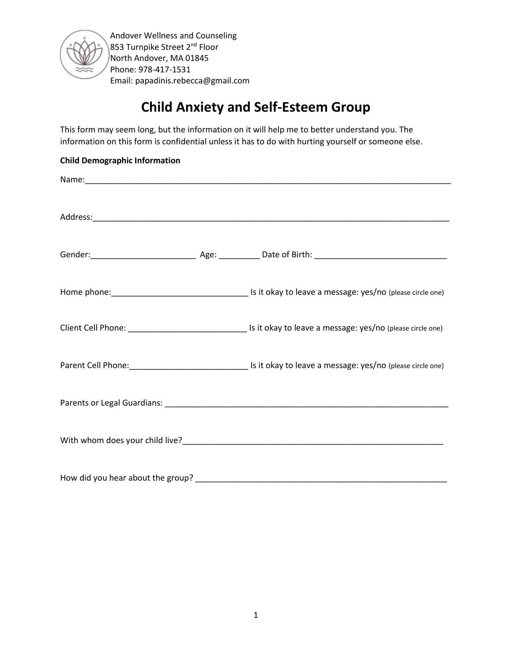

# **Child Anxiety and Self-Esteem Group**

This form may seem long, but the information on it will help me to better understand you. The information on this form is confidential unless it has to do with hurting yourself or someone else.

| <b>Child Demographic Information</b> |  |
|--------------------------------------|--|
|                                      |  |
|                                      |  |
|                                      |  |
|                                      |  |
|                                      |  |
|                                      |  |
|                                      |  |
|                                      |  |
| How did you hear about the group?    |  |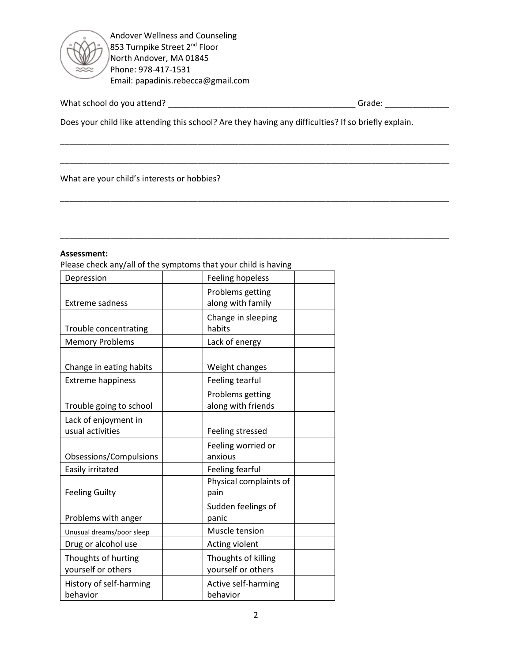

What school do you attend? \_\_\_\_\_\_\_\_\_\_\_\_\_\_\_\_\_\_\_\_\_\_\_\_\_\_\_\_\_\_\_\_\_\_\_\_\_\_\_\_\_ Grade: \_\_\_\_\_\_\_\_\_\_\_\_\_\_

Does your child like attending this school? Are they having any difficulties? If so briefly explain.

\_\_\_\_\_\_\_\_\_\_\_\_\_\_\_\_\_\_\_\_\_\_\_\_\_\_\_\_\_\_\_\_\_\_\_\_\_\_\_\_\_\_\_\_\_\_\_\_\_\_\_\_\_\_\_\_\_\_\_\_\_\_\_\_\_\_\_\_\_\_\_\_\_\_\_\_\_\_\_\_\_\_\_\_\_

 $\sim$  . The contribution of the contribution of the contribution of the contribution of the contribution of the contribution of the contribution of the contribution of the contribution of the contribution of the contributi

\_\_\_\_\_\_\_\_\_\_\_\_\_\_\_\_\_\_\_\_\_\_\_\_\_\_\_\_\_\_\_\_\_\_\_\_\_\_\_\_\_\_\_\_\_\_\_\_\_\_\_\_\_\_\_\_\_\_\_\_\_\_\_\_\_\_\_\_\_\_\_\_\_\_\_\_\_\_\_\_\_\_\_\_\_

\_\_\_\_\_\_\_\_\_\_\_\_\_\_\_\_\_\_\_\_\_\_\_\_\_\_\_\_\_\_\_\_\_\_\_\_\_\_\_\_\_\_\_\_\_\_\_\_\_\_\_\_\_\_\_\_\_\_\_\_\_\_\_\_\_\_\_\_\_\_\_\_\_\_\_\_\_\_\_\_\_\_\_\_\_

What are your child's interests or hobbies?

#### **Assessment:**

Please check any/all of the symptoms that your child is having

| Feeling hopeless       |
|------------------------|
| Problems getting       |
| along with family      |
| Change in sleeping     |
| habits                 |
| Lack of energy         |
|                        |
| Weight changes         |
| Feeling tearful        |
| Problems getting       |
| along with friends     |
|                        |
| Feeling stressed       |
| Feeling worried or     |
| anxious                |
| Feeling fearful        |
| Physical complaints of |
| pain                   |
| Sudden feelings of     |
| panic                  |
| Muscle tension         |
| Acting violent         |
| Thoughts of killing    |
| yourself or others     |
| Active self-harming    |
| behavior               |
|                        |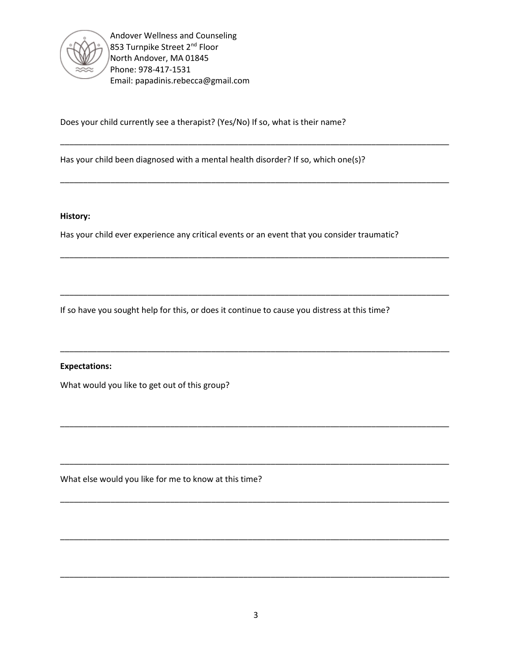

Does your child currently see a therapist? (Yes/No) If so, what is their name?

Has your child been diagnosed with a mental health disorder? If so, which one(s)?

### **History:**

Has your child ever experience any critical events or an event that you consider traumatic?

\_\_\_\_\_\_\_\_\_\_\_\_\_\_\_\_\_\_\_\_\_\_\_\_\_\_\_\_\_\_\_\_\_\_\_\_\_\_\_\_\_\_\_\_\_\_\_\_\_\_\_\_\_\_\_\_\_\_\_\_\_\_\_\_\_\_\_\_\_\_\_\_\_\_\_\_\_\_\_\_\_\_\_\_\_

\_\_\_\_\_\_\_\_\_\_\_\_\_\_\_\_\_\_\_\_\_\_\_\_\_\_\_\_\_\_\_\_\_\_\_\_\_\_\_\_\_\_\_\_\_\_\_\_\_\_\_\_\_\_\_\_\_\_\_\_\_\_\_\_\_\_\_\_\_\_\_\_\_\_\_\_\_\_\_\_\_\_\_\_\_

\_\_\_\_\_\_\_\_\_\_\_\_\_\_\_\_\_\_\_\_\_\_\_\_\_\_\_\_\_\_\_\_\_\_\_\_\_\_\_\_\_\_\_\_\_\_\_\_\_\_\_\_\_\_\_\_\_\_\_\_\_\_\_\_\_\_\_\_\_\_\_\_\_\_\_\_\_\_\_\_\_\_\_\_\_

\_\_\_\_\_\_\_\_\_\_\_\_\_\_\_\_\_\_\_\_\_\_\_\_\_\_\_\_\_\_\_\_\_\_\_\_\_\_\_\_\_\_\_\_\_\_\_\_\_\_\_\_\_\_\_\_\_\_\_\_\_\_\_\_\_\_\_\_\_\_\_\_\_\_\_\_\_\_\_\_\_\_\_\_\_

\_\_\_\_\_\_\_\_\_\_\_\_\_\_\_\_\_\_\_\_\_\_\_\_\_\_\_\_\_\_\_\_\_\_\_\_\_\_\_\_\_\_\_\_\_\_\_\_\_\_\_\_\_\_\_\_\_\_\_\_\_\_\_\_\_\_\_\_\_\_\_\_\_\_\_\_\_\_\_\_\_\_\_\_\_

\_\_\_\_\_\_\_\_\_\_\_\_\_\_\_\_\_\_\_\_\_\_\_\_\_\_\_\_\_\_\_\_\_\_\_\_\_\_\_\_\_\_\_\_\_\_\_\_\_\_\_\_\_\_\_\_\_\_\_\_\_\_\_\_\_\_\_\_\_\_\_\_\_\_\_\_\_\_\_\_\_\_\_\_\_

\_\_\_\_\_\_\_\_\_\_\_\_\_\_\_\_\_\_\_\_\_\_\_\_\_\_\_\_\_\_\_\_\_\_\_\_\_\_\_\_\_\_\_\_\_\_\_\_\_\_\_\_\_\_\_\_\_\_\_\_\_\_\_\_\_\_\_\_\_\_\_\_\_\_\_\_\_\_\_\_\_\_\_\_\_

\_\_\_\_\_\_\_\_\_\_\_\_\_\_\_\_\_\_\_\_\_\_\_\_\_\_\_\_\_\_\_\_\_\_\_\_\_\_\_\_\_\_\_\_\_\_\_\_\_\_\_\_\_\_\_\_\_\_\_\_\_\_\_\_\_\_\_\_\_\_\_\_\_\_\_\_\_\_\_\_\_\_\_\_\_

\_\_\_\_\_\_\_\_\_\_\_\_\_\_\_\_\_\_\_\_\_\_\_\_\_\_\_\_\_\_\_\_\_\_\_\_\_\_\_\_\_\_\_\_\_\_\_\_\_\_\_\_\_\_\_\_\_\_\_\_\_\_\_\_\_\_\_\_\_\_\_\_\_\_\_\_\_\_\_\_\_\_\_\_\_

\_\_\_\_\_\_\_\_\_\_\_\_\_\_\_\_\_\_\_\_\_\_\_\_\_\_\_\_\_\_\_\_\_\_\_\_\_\_\_\_\_\_\_\_\_\_\_\_\_\_\_\_\_\_\_\_\_\_\_\_\_\_\_\_\_\_\_\_\_\_\_\_\_\_\_\_\_\_\_\_\_\_\_\_\_

If so have you sought help for this, or does it continue to cause you distress at this time?

### **Expectations:**

What would you like to get out of this group?

What else would you like for me to know at this time?